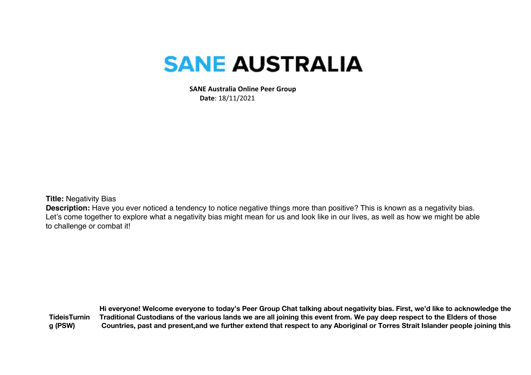## **SANE AUSTRALIA**

 **SANE Australia Online Peer Group Date**: 18/11/2021

**Title:** Negativity Bias

**Description:** Have you ever noticed a tendency to notice negative things more than positive? This is known as a negativity bias. Let's come together to explore what a negativity bias might mean for us and look like in our lives, as well as how we might be able to challenge or combat it!

**TideisTurnin g (PSW) Hi everyone! Welcome everyone to today's Peer Group Chat talking about negativity bias. First, we'd like to acknowledge the Traditional Custodians of the various lands we are all joining this event from. We pay deep respect to the Elders of those Countries, past and present,and we further extend that respect to any Aboriginal or Torres Strait Islander people joining this**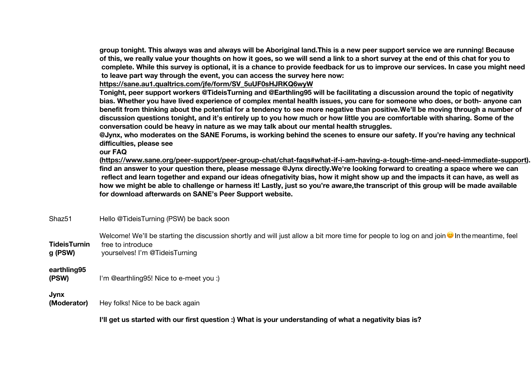**group tonight. This always was and always will be Aboriginal land.This is a new peer support service we are running! Because of this, we really value your thoughts on how it goes, so we will send a link to a short survey at the end of this chat for you to complete. While this survey is optional, it is a chance to provide feedback for us to improve our services. In case you might need to leave part way through the event, you can access the survey here now:**

**https://sane.au1.qualtrics.com/jfe/form/SV\_5uUF0sHJRKQ6wyW**

**Tonight, peer support workers @TideisTurning and @Earthling95 will be facilitating a discussion around the topic of negativity bias. Whether you have lived experience of complex mental health issues, you care for someone who does, or both- anyone can benefit from thinking about the potential for a tendency to see more negative than positive.We'll be moving through a number of discussion questions tonight, and it's entirely up to you how much or how little you are comfortable with sharing. Some of the conversation could be heavy in nature as we may talk about our mental health struggles.** 

**@Jynx, who moderates on the SANE Forums, is working behind the scenes to ensure our safety. If you're having any technical difficulties, please see** 

**our FAQ** 

**(https://www.sane.org/peer-support/peer-group-chat/chat-faqs#what-if-i-am-having-a-tough-time-and-need-immediate-support). If you can't find an answer to your question there, please message @Jynx directly.We're looking forward to creating a space where we can reflect and learn together and expand our ideas ofnegativity bias, how it might show up and the impacts it can have, as well as how we might be able to challenge or harness it! Lastly, just so you're aware,the transcript of this group will be made available for download afterwards on SANE's Peer Support website.**

Shaz51 Hello @TideisTurning (PSW) be back soon

**TideisTurnin** Welcome! We'll be starting the discussion shortly and will just allow a bit more time for people to log on and join Inthemeantime, feel free to introduce

**g (PSW)** yourselves! I'm @TideisTurning

## **earthling95**

**(PSW)** I'm @earthling95! Nice to e-meet you :)

## **Jynx**

**(Moderator)** Hey folks! Nice to be back again

**I'll get us started with our first question :) What is your understanding of what a negativity bias is?**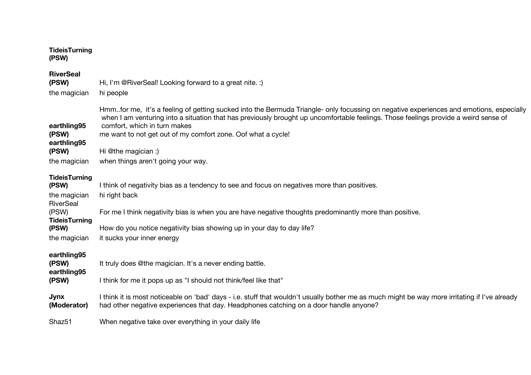| <b>TideisTurning</b><br>(PSW)                 |                                                                                                                                                                                                                                                                                                                                                                               |
|-----------------------------------------------|-------------------------------------------------------------------------------------------------------------------------------------------------------------------------------------------------------------------------------------------------------------------------------------------------------------------------------------------------------------------------------|
| <b>RiverSeal</b><br>(PSW)<br>the magician     | Hi, I'm @RiverSeal! Looking forward to a great nite. :)<br>hi people                                                                                                                                                                                                                                                                                                          |
| earthling95<br>(PSW)<br>earthling95           | Hmmfor me, it's a feeling of getting sucked into the Bermuda Triangle- only focussing on negative experiences and emotions, especially<br>when I am venturing into a situation that has previously brought up uncomfortable feelings. Those feelings provide a weird sense of<br>comfort, which in turn makes<br>me want to not get out of my comfort zone. Oof what a cycle! |
| (PSW)                                         | Hi @the magician :)                                                                                                                                                                                                                                                                                                                                                           |
| the magician                                  | when things aren't going your way.                                                                                                                                                                                                                                                                                                                                            |
| <b>TideisTurning</b><br>(PSW)<br>the magician | I think of negativity bias as a tendency to see and focus on negatives more than positives.<br>hi right back                                                                                                                                                                                                                                                                  |
| RiverSeal<br>(PSW)<br><b>TideisTurning</b>    | For me I think negativity bias is when you are have negative thoughts predominantly more than positive.                                                                                                                                                                                                                                                                       |
| (PSW)                                         | How do you notice negativity bias showing up in your day to day life?                                                                                                                                                                                                                                                                                                         |
| the magician                                  | it sucks your inner energy                                                                                                                                                                                                                                                                                                                                                    |
| earthling95<br>(PSW)<br>earthling95<br>(PSW)  | It truly does @the magician. It's a never ending battle.<br>I think for me it pops up as "I should not think/feel like that"                                                                                                                                                                                                                                                  |
| <b>Jynx</b><br>(Moderator)                    | I think it is most noticeable on 'bad' days - i.e. stuff that wouldn't usually bother me as much might be way more irritating if I've already<br>had other negative experiences that day. Headphones catching on a door handle anyone?                                                                                                                                        |
| Shaz <sub>51</sub>                            | When negative take over everything in your daily life                                                                                                                                                                                                                                                                                                                         |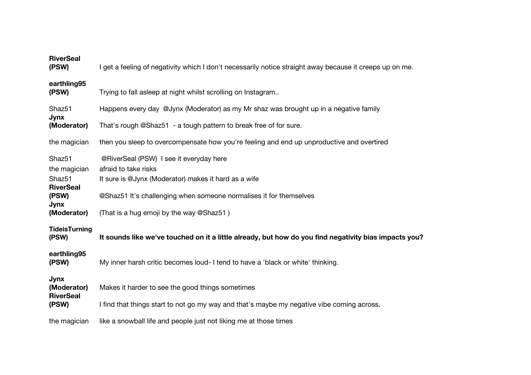| <b>RiverSeal</b><br>(PSW)                    | I get a feeling of negativity which I don't necessarily notice straight away because it creeps up on me.                |
|----------------------------------------------|-------------------------------------------------------------------------------------------------------------------------|
| earthling95<br>(PSW)                         | Trying to fall asleep at night whilst scrolling on Instagram                                                            |
| Shaz <sub>51</sub>                           | Happens every day @Jynx (Moderator) as my Mr shaz was brought up in a negative family                                   |
| <b>Jynx</b><br>(Moderator)                   | That's rough @Shaz51 - a tough pattern to break free of for sure.                                                       |
| the magician                                 | then you sleep to overcompensate how you're feeling and end up unproductive and overtired                               |
| Shaz51<br>the magician<br>Shaz <sub>51</sub> | @RiverSeal (PSW) I see it everyday here<br>afraid to take risks<br>It sure is @Jynx (Moderator) makes it hard as a wife |
| <b>RiverSeal</b><br>(PSW)<br><b>Jynx</b>     | @Shaz51 It's challenging when someone normalises it for themselves                                                      |
| (Moderator)                                  | (That is a hug emoji by the way @Shaz51)                                                                                |
| <b>TideisTurning</b><br>(PSW)                | It sounds like we've touched on it a little already, but how do you find negativity bias impacts you?                   |
| earthling95<br>(PSW)                         | My inner harsh critic becomes loud- I tend to have a 'black or white' thinking.                                         |
| Jynx<br>(Moderator)<br><b>RiverSeal</b>      | Makes it harder to see the good things sometimes                                                                        |
| (PSW)                                        | I find that things start to not go my way and that's maybe my negative vibe coming across.                              |
| the magician                                 | like a snowball life and people just not liking me at those times                                                       |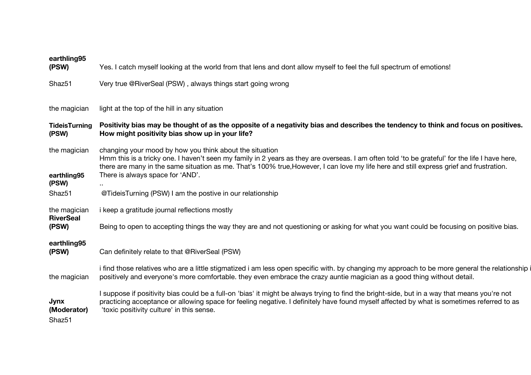| earthling95<br>(PSW)                      | Yes. I catch myself looking at the world from that lens and dont allow myself to feel the full spectrum of emotions!                                                                                                                                                                                                                                                                     |
|-------------------------------------------|------------------------------------------------------------------------------------------------------------------------------------------------------------------------------------------------------------------------------------------------------------------------------------------------------------------------------------------------------------------------------------------|
|                                           |                                                                                                                                                                                                                                                                                                                                                                                          |
| Shaz51                                    | Very true @RiverSeal (PSW), always things start going wrong                                                                                                                                                                                                                                                                                                                              |
|                                           |                                                                                                                                                                                                                                                                                                                                                                                          |
| the magician                              | light at the top of the hill in any situation                                                                                                                                                                                                                                                                                                                                            |
| <b>TideisTurning</b><br>(PSW)             | Positivity bias may be thought of as the opposite of a negativity bias and describes the tendency to think and focus on positives.<br>How might positivity bias show up in your life?                                                                                                                                                                                                    |
| the magician<br>earthling95               | changing your mood by how you think about the situation<br>Hmm this is a tricky one. I haven't seen my family in 2 years as they are overseas. I am often told 'to be grateful' for the life I have here,<br>there are many in the same situation as me. That's 100% true, However, I can love my life here and still express grief and frustration.<br>There is always space for 'AND'. |
| (PSW)                                     |                                                                                                                                                                                                                                                                                                                                                                                          |
| Shaz51                                    | @TideisTurning (PSW) I am the postive in our relationship                                                                                                                                                                                                                                                                                                                                |
| the magician                              | <i>i</i> keep a gratitude journal reflections mostly                                                                                                                                                                                                                                                                                                                                     |
| <b>RiverSeal</b><br>(PSW)                 | Being to open to accepting things the way they are and not questioning or asking for what you want could be focusing on positive bias.                                                                                                                                                                                                                                                   |
| earthling95                               |                                                                                                                                                                                                                                                                                                                                                                                          |
| (PSW)                                     | Can definitely relate to that @RiverSeal (PSW)                                                                                                                                                                                                                                                                                                                                           |
| the magician                              | i find those relatives who are a little stigmatized i am less open specific with. by changing my approach to be more general the relationship i<br>positively and everyone's more comfortable. they even embrace the crazy auntie magician as a good thing without detail.                                                                                                               |
| Jynx<br>(Moderator)<br>Shaz <sub>51</sub> | I suppose if positivity bias could be a full-on 'bias' it might be always trying to find the bright-side, but in a way that means you're not<br>practicing acceptance or allowing space for feeling negative. I definitely have found myself affected by what is sometimes referred to as<br>'toxic positivity culture' in this sense.                                                   |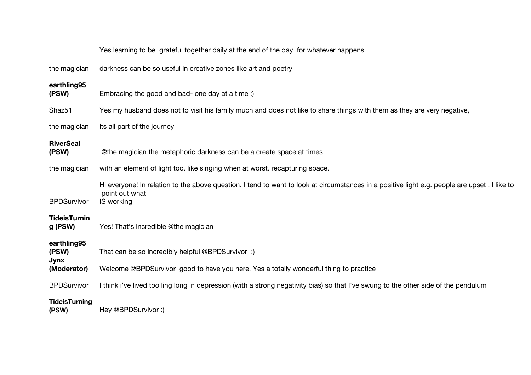|                                     | Yes learning to be grateful together daily at the end of the day for whatever happens                                                                                        |
|-------------------------------------|------------------------------------------------------------------------------------------------------------------------------------------------------------------------------|
| the magician                        | darkness can be so useful in creative zones like art and poetry                                                                                                              |
| earthling95<br>(PSW)                | Embracing the good and bad- one day at a time:)                                                                                                                              |
| Shaz <sub>51</sub>                  | Yes my husband does not to visit his family much and does not like to share things with them as they are very negative,                                                      |
| the magician                        | its all part of the journey                                                                                                                                                  |
| <b>RiverSeal</b><br>(PSW)           | @the magician the metaphoric darkness can be a create space at times                                                                                                         |
| the magician                        | with an element of light too. like singing when at worst. recapturing space.                                                                                                 |
| <b>BPDSurvivor</b>                  | Hi everyone! In relation to the above question, I tend to want to look at circumstances in a positive light e.g. people are upset, I like to<br>point out what<br>IS working |
| <b>TideisTurnin</b><br>g (PSW)      | Yes! That's incredible @the magician                                                                                                                                         |
| earthling95<br>(PSW)<br><b>Jynx</b> | That can be so incredibly helpful @BPDSurvivor :)                                                                                                                            |
| (Moderator)                         | Welcome @BPDSurvivor good to have you here! Yes a totally wonderful thing to practice                                                                                        |
| <b>BPDSurvivor</b>                  | I think i've lived too ling long in depression (with a strong negativity bias) so that I've swung to the other side of the pendulum                                          |
| <b>TideisTurning</b><br>(PSW)       | Hey @BPDSurvivor:)                                                                                                                                                           |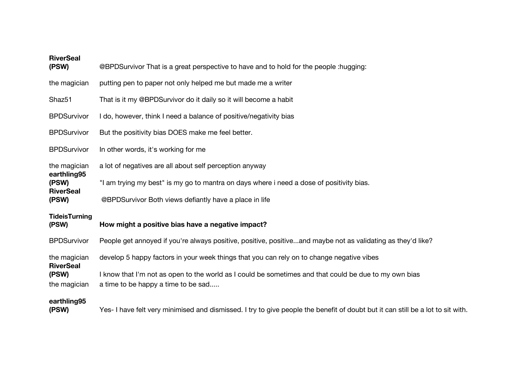| <b>RiverSeal</b><br>(PSW)                 | @BPDSurvivor That is a great perspective to have and to hold for the people :hugging:                                                        |  |
|-------------------------------------------|----------------------------------------------------------------------------------------------------------------------------------------------|--|
| the magician                              | putting pen to paper not only helped me but made me a writer                                                                                 |  |
| Shaz <sub>51</sub>                        | That is it my @BPDSurvivor do it daily so it will become a habit                                                                             |  |
| <b>BPDSurvivor</b>                        | I do, however, think I need a balance of positive/negativity bias                                                                            |  |
| <b>BPDSurvivor</b>                        | But the positivity bias DOES make me feel better.                                                                                            |  |
| <b>BPDSurvivor</b>                        | In other words, it's working for me                                                                                                          |  |
| the magician                              | a lot of negatives are all about self perception anyway                                                                                      |  |
| earthling95<br>(PSW)                      | "I am trying my best" is my go to mantra on days where i need a dose of positivity bias.                                                     |  |
| <b>RiverSeal</b><br>(PSW)                 | @BPDSurvivor Both views defiantly have a place in life                                                                                       |  |
| <b>TideisTurning</b><br>(PSW)             | How might a positive bias have a negative impact?                                                                                            |  |
| <b>BPDSurvivor</b>                        | People get annoyed if you're always positive, positive, positiveand maybe not as validating as they'd like?                                  |  |
| the magician                              | develop 5 happy factors in your week things that you can rely on to change negative vibes                                                    |  |
| <b>RiverSeal</b><br>(PSW)<br>the magician | I know that I'm not as open to the world as I could be sometimes and that could be due to my own bias<br>a time to be happy a time to be sad |  |
| earthling95<br>(PSW)                      | Yes- I have felt very minimised and dismissed. I try to give people the benefit of doubt but it can still be a lot to sit with.              |  |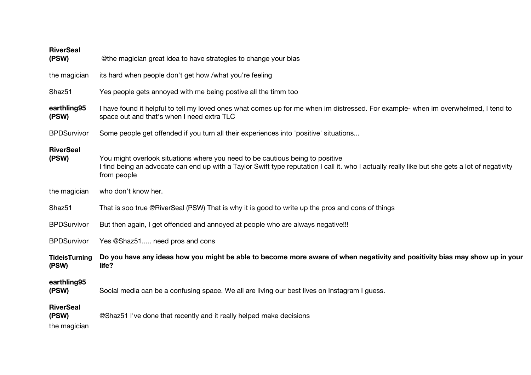| <b>RiverSeal</b><br>(PSW)                 | @the magician great idea to have strategies to change your bias                                                                                                                                                                                |
|-------------------------------------------|------------------------------------------------------------------------------------------------------------------------------------------------------------------------------------------------------------------------------------------------|
| the magician                              | its hard when people don't get how /what you're feeling                                                                                                                                                                                        |
| Shaz <sub>51</sub>                        | Yes people gets annoyed with me being postive all the timm too                                                                                                                                                                                 |
| earthling95<br>(PSW)                      | I have found it helpful to tell my loved ones what comes up for me when im distressed. For example- when im overwhelmed, I tend to<br>space out and that's when I need extra TLC                                                               |
| <b>BPDSurvivor</b>                        | Some people get offended if you turn all their experiences into 'positive' situations                                                                                                                                                          |
| <b>RiverSeal</b><br>(PSW)                 | You might overlook situations where you need to be cautious being to positive<br>I find being an advocate can end up with a Taylor Swift type reputation I call it. who I actually really like but she gets a lot of negativity<br>from people |
| the magician                              | who don't know her.                                                                                                                                                                                                                            |
| Shaz51                                    | That is soo true @RiverSeal (PSW) That is why it is good to write up the pros and cons of things                                                                                                                                               |
| <b>BPDSurvivor</b>                        | But then again, I get offended and annoyed at people who are always negative!!!                                                                                                                                                                |
| <b>BPDSurvivor</b>                        | Yes @Shaz51 need pros and cons                                                                                                                                                                                                                 |
| <b>TideisTurning</b><br>(PSW)             | Do you have any ideas how you might be able to become more aware of when negativity and positivity bias may show up in your<br>life?                                                                                                           |
| earthling95<br>(PSW)                      | Social media can be a confusing space. We all are living our best lives on Instagram I guess.                                                                                                                                                  |
| <b>RiverSeal</b><br>(PSW)<br>the magician | @Shaz51 I've done that recently and it really helped make decisions                                                                                                                                                                            |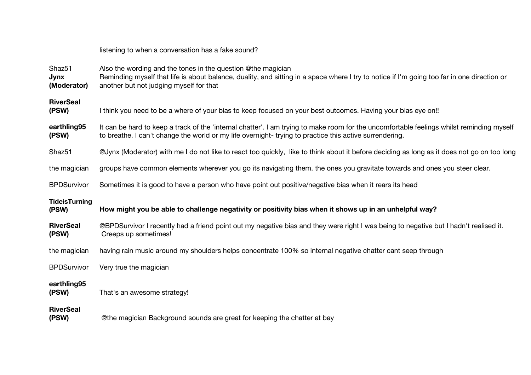| listening to when a conversation has a fake sound? |
|----------------------------------------------------|
|----------------------------------------------------|

| Shaz51<br><b>Jynx</b><br>(Moderator) | Also the wording and the tones in the question @the magician<br>Reminding myself that life is about balance, duality, and sitting in a space where I try to notice if I'm going too far in one direction or<br>another but not judging myself for that |
|--------------------------------------|--------------------------------------------------------------------------------------------------------------------------------------------------------------------------------------------------------------------------------------------------------|
| <b>RiverSeal</b><br>(PSW)            | I think you need to be a where of your bias to keep focused on your best outcomes. Having your bias eye on!!                                                                                                                                           |
| earthling95<br>(PSW)                 | It can be hard to keep a track of the 'internal chatter'. I am trying to make room for the uncomfortable feelings whilst reminding myself<br>to breathe. I can't change the world or my life overnight-trying to practice this active surrendering.    |
| Shaz <sub>51</sub>                   | @Jynx (Moderator) with me I do not like to react too quickly, like to think about it before deciding as long as it does not go on too long                                                                                                             |
| the magician                         | groups have common elements wherever you go its navigating them. the ones you gravitate towards and ones you steer clear.                                                                                                                              |
| <b>BPDSurvivor</b>                   | Sometimes it is good to have a person who have point out positive/negative bias when it rears its head                                                                                                                                                 |
|                                      |                                                                                                                                                                                                                                                        |
| <b>TideisTurning</b><br>(PSW)        | How might you be able to challenge negativity or positivity bias when it shows up in an unhelpful way?                                                                                                                                                 |
| <b>RiverSeal</b><br>(PSW)            | @BPDSurvivor I recently had a friend point out my negative bias and they were right I was being to negative but I hadn't realised it.<br>Creeps up sometimes!                                                                                          |
| the magician                         | having rain music around my shoulders helps concentrate 100% so internal negative chatter cant seep through                                                                                                                                            |
| <b>BPDSurvivor</b>                   | Very true the magician                                                                                                                                                                                                                                 |
| earthling95<br>(PSW)                 | That's an awesome strategy!                                                                                                                                                                                                                            |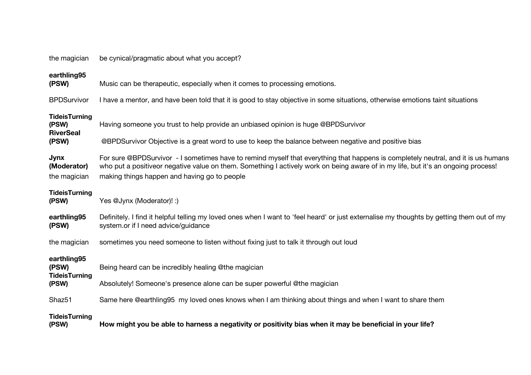| the magician                                      | be cynical/pragmatic about what you accept?                                                                                                                                                                                                                                                                            |  |
|---------------------------------------------------|------------------------------------------------------------------------------------------------------------------------------------------------------------------------------------------------------------------------------------------------------------------------------------------------------------------------|--|
| earthling95<br>(PSW)                              | Music can be therapeutic, especially when it comes to processing emotions.                                                                                                                                                                                                                                             |  |
| <b>BPDSurvivor</b>                                | I have a mentor, and have been told that it is good to stay objective in some situations, otherwise emotions taint situations                                                                                                                                                                                          |  |
| <b>TideisTurning</b><br>(PSW)<br><b>RiverSeal</b> | Having someone you trust to help provide an unbiased opinion is huge @BPDSurvivor                                                                                                                                                                                                                                      |  |
| (PSW)                                             | @BPDSurvivor Objective is a great word to use to keep the balance between negative and positive bias                                                                                                                                                                                                                   |  |
| <b>Jynx</b><br>(Moderator)<br>the magician        | For sure @BPDSurvivor - I sometimes have to remind myself that everything that happens is completely neutral, and it is us humans<br>who put a positiveor negative value on them. Something I actively work on being aware of in my life, but it's an ongoing process!<br>making things happen and having go to people |  |
| <b>TideisTurning</b><br>(PSW)                     | Yes @Jynx (Moderator)! :)                                                                                                                                                                                                                                                                                              |  |
| earthling95<br>(PSW)                              | Definitely. I find it helpful telling my loved ones when I want to 'feel heard' or just externalise my thoughts by getting them out of my<br>system.or if I need advice/guidance                                                                                                                                       |  |
| the magician                                      | sometimes you need someone to listen without fixing just to talk it through out loud                                                                                                                                                                                                                                   |  |
| earthling95<br>(PSW)<br><b>TideisTurning</b>      | Being heard can be incredibly healing @the magician                                                                                                                                                                                                                                                                    |  |
| (PSW)                                             | Absolutely! Someone's presence alone can be super powerful @the magician                                                                                                                                                                                                                                               |  |
| Shaz <sub>51</sub>                                | Same here @earthling95 my loved ones knows when I am thinking about things and when I want to share them                                                                                                                                                                                                               |  |
| <b>TideisTurning</b><br>(PSW)                     | How might you be able to harness a negativity or positivity bias when it may be beneficial in your life?                                                                                                                                                                                                               |  |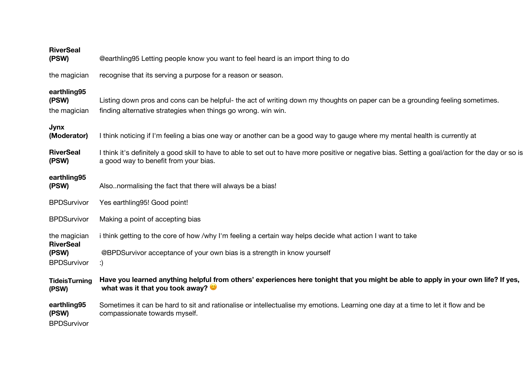| <b>RiverSeal</b><br>(PSW)                  | @earthling95 Letting people know you want to feel heard is an import thing to do                                                                                                               |
|--------------------------------------------|------------------------------------------------------------------------------------------------------------------------------------------------------------------------------------------------|
| the magician                               | recognise that its serving a purpose for a reason or season.                                                                                                                                   |
| earthling95<br>(PSW)<br>the magician       | Listing down pros and cons can be helpful- the act of writing down my thoughts on paper can be a grounding feeling sometimes.<br>finding alternative strategies when things go wrong. win win. |
| Jynx<br>(Moderator)                        | I think noticing if I'm feeling a bias one way or another can be a good way to gauge where my mental health is currently at                                                                    |
| <b>RiverSeal</b><br>(PSW)                  | I think it's definitely a good skill to have to able to set out to have more positive or negative bias. Setting a goal/action for the day or so is<br>a good way to benefit from your bias.    |
| earthling95<br>(PSW)                       | Also. normalising the fact that there will always be a bias!                                                                                                                                   |
| <b>BPDSurvivor</b>                         | Yes earthling95! Good point!                                                                                                                                                                   |
| <b>BPDSurvivor</b>                         | Making a point of accepting bias                                                                                                                                                               |
| the magician<br><b>RiverSeal</b>           | i think getting to the core of how /why I'm feeling a certain way helps decide what action I want to take                                                                                      |
| (PSW)<br><b>BPDSurvivor</b>                | @BPDSurvivor acceptance of your own bias is a strength in know yourself<br>:)                                                                                                                  |
| <b>TideisTurning</b><br>(PSW)              | Have you learned anything helpful from others' experiences here tonight that you might be able to apply in your own life? If yes,<br>what was it that you took away? $\bullet$                 |
| earthling95<br>(PSW)<br><b>BPDSurvivor</b> | Sometimes it can be hard to sit and rationalise or intellectualise my emotions. Learning one day at a time to let it flow and be<br>compassionate towards myself.                              |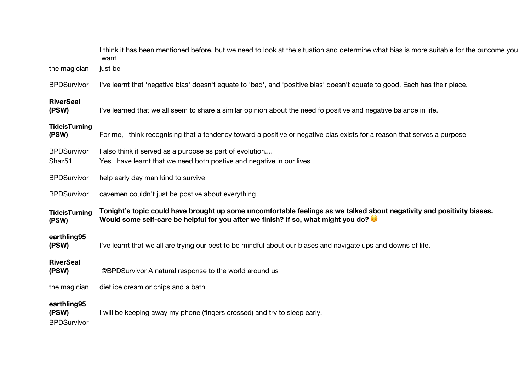|                                            | I think it has been mentioned before, but we need to look at the situation and determine what bias is more suitable for the outcome you<br>want                                                              |
|--------------------------------------------|--------------------------------------------------------------------------------------------------------------------------------------------------------------------------------------------------------------|
| the magician                               | just be                                                                                                                                                                                                      |
| <b>BPDSurvivor</b>                         | I've learnt that 'negative bias' doesn't equate to 'bad', and 'positive bias' doesn't equate to good. Each has their place.                                                                                  |
| <b>RiverSeal</b><br>(PSW)                  | I've learned that we all seem to share a similar opinion about the need fo positive and negative balance in life.                                                                                            |
| <b>TideisTurning</b><br>(PSW)              | For me, I think recognising that a tendency toward a positive or negative bias exists for a reason that serves a purpose                                                                                     |
| <b>BPDSurvivor</b><br>Shaz51               | I also think it served as a purpose as part of evolution<br>Yes I have learnt that we need both postive and negative in our lives                                                                            |
| <b>BPDSurvivor</b>                         | help early day man kind to survive                                                                                                                                                                           |
| <b>BPDSurvivor</b>                         | cavemen couldn't just be postive about everything                                                                                                                                                            |
| <b>TideisTurning</b><br>(PSW)              | Tonight's topic could have brought up some uncomfortable feelings as we talked about negativity and positivity biases.<br>Would some self-care be helpful for you after we finish? If so, what might you do? |
| earthling95<br>(PSW)                       | I've learnt that we all are trying our best to be mindful about our biases and navigate ups and downs of life.                                                                                               |
| <b>RiverSeal</b><br>(PSW)                  | @BPDSurvivor A natural response to the world around us                                                                                                                                                       |
| the magician                               | diet ice cream or chips and a bath                                                                                                                                                                           |
| earthling95<br>(PSW)<br><b>BPDSurvivor</b> | I will be keeping away my phone (fingers crossed) and try to sleep early!                                                                                                                                    |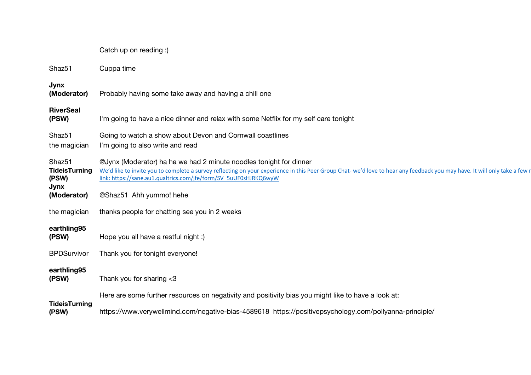|                                                                            | Catch up on reading :)                                                                                                                                                                                                                                                                                                                         |
|----------------------------------------------------------------------------|------------------------------------------------------------------------------------------------------------------------------------------------------------------------------------------------------------------------------------------------------------------------------------------------------------------------------------------------|
| Shaz <sub>51</sub>                                                         | Cuppa time                                                                                                                                                                                                                                                                                                                                     |
| Jynx<br>(Moderator)                                                        | Probably having some take away and having a chill one                                                                                                                                                                                                                                                                                          |
| <b>RiverSeal</b><br>(PSW)                                                  | I'm going to have a nice dinner and relax with some Netflix for my self care tonight                                                                                                                                                                                                                                                           |
| Shaz <sub>51</sub><br>the magician                                         | Going to watch a show about Devon and Cornwall coastlines<br>I'm going to also write and read                                                                                                                                                                                                                                                  |
| Shaz <sub>51</sub><br><b>TideisTurning</b><br>(PSW)<br>Jynx<br>(Moderator) | @Jynx (Moderator) ha ha we had 2 minute noodles tonight for dinner<br>We'd like to invite you to complete a survey reflecting on your experience in this Peer Group Chat-we'd love to hear any feedback you may have. It will only take a few r<br>link: https://sane.au1.qualtrics.com/jfe/form/SV_5uUF0sHJRKQ6wyW<br>@Shaz51 Ahh yummo! hehe |
| the magician                                                               | thanks people for chatting see you in 2 weeks                                                                                                                                                                                                                                                                                                  |
| earthling95<br>(PSW)                                                       | Hope you all have a restful night :)                                                                                                                                                                                                                                                                                                           |
| <b>BPDSurvivor</b>                                                         | Thank you for tonight everyone!                                                                                                                                                                                                                                                                                                                |
| earthling95<br>(PSW)                                                       | Thank you for sharing $<$ 3                                                                                                                                                                                                                                                                                                                    |
|                                                                            | Here are some further resources on negativity and positivity bias you might like to have a look at:                                                                                                                                                                                                                                            |
| <b>TideisTurning</b><br>(PSW)                                              | https://www.verywellmind.com/negative-bias-4589618 https://positivepsychology.com/pollyanna-principle/                                                                                                                                                                                                                                         |